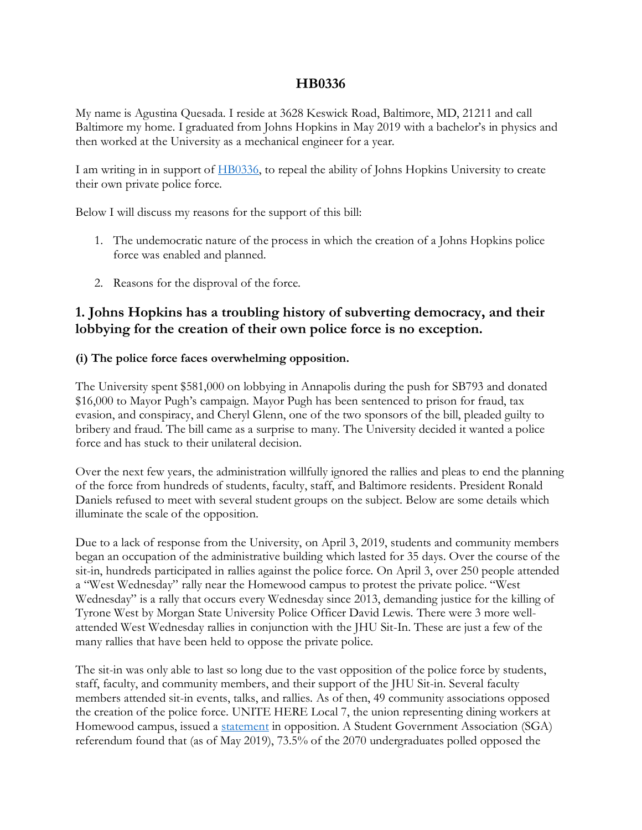## **HB0336**

My name is Agustina Quesada. I reside at 3628 Keswick Road, Baltimore, MD, 21211 and call Baltimore my home. I graduated from Johns Hopkins in May 2019 with a bachelor's in physics and then worked at the University as a mechanical engineer for a year.

I am writing in in support of [HB0336,](https://mgaleg.maryland.gov/2021RS/bills/hb/hb0336f.pdf) to repeal the ability of Johns Hopkins University to create their own private police force.

Below I will discuss my reasons for the support of this bill:

- 1. The undemocratic nature of the process in which the creation of a Johns Hopkins police force was enabled and planned.
- 2. Reasons for the disproval of the force.

## **1. Johns Hopkins has a troubling history of subverting democracy, and their lobbying for the creation of their own police force is no exception.**

## **(i) The police force faces overwhelming opposition.**

The University spent \$581,000 on lobbying in Annapolis during the push for SB793 and donated \$16,000 to Mayor Pugh's campaign. Mayor Pugh has been sentenced to prison for fraud, tax evasion, and conspiracy, and Cheryl Glenn, one of the two sponsors of the bill, pleaded guilty to bribery and fraud. The bill came as a surprise to many. The University decided it wanted a police force and has stuck to their unilateral decision.

Over the next few years, the administration willfully ignored the rallies and pleas to end the planning of the force from hundreds of students, faculty, staff, and Baltimore residents. President Ronald Daniels refused to meet with several student groups on the subject. Below are some details which illuminate the scale of the opposition.

Due to a lack of response from the University, on April 3, 2019, students and community members began an occupation of the administrative building which lasted for 35 days. Over the course of the sit-in, hundreds participated in rallies against the police force. On April 3, over 250 people attended a "West Wednesday" rally near the Homewood campus to protest the private police. "West Wednesday" is a rally that occurs every Wednesday since 2013, demanding justice for the killing of Tyrone West by Morgan State University Police Officer David Lewis. There were 3 more wellattended West Wednesday rallies in conjunction with the JHU Sit-In. These are just a few of the many rallies that have been held to oppose the private police.

The sit-in was only able to last so long due to the vast opposition of the police force by students, staff, faculty, and community members, and their support of the JHU Sit-in. Several faculty members attended sit-in events, talks, and rallies. As of then, 49 community associations opposed the creation of the police force. UNITE HERE Local 7, the union representing dining workers at Homewood campus, issued a [statement](https://twitter.com/coreyrpayne/status/1095500903803691009) in opposition. A Student Government Association (SGA) referendum found that (as of May 2019), 73.5% of the 2070 undergraduates polled opposed the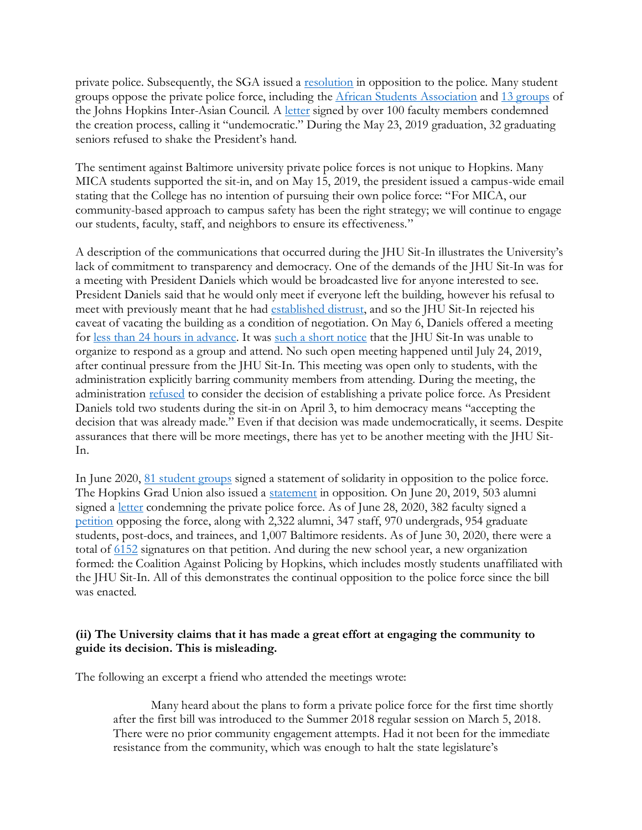private police. Subsequently, the SGA issued a <u>[resolution](https://docs.google.com/document/d/1sscrNTh_6DVWb8Nc8V_pbI3Z9bt5UzpX3rzeQZudprQ/edit)</u> in opposition to the police. Many student groups oppose the private police force, including the [African Students Association](https://www.facebook.com/JHUASA/photos/a.756099344453162/2275469089182839/?type=3&theater) and [13 groups](https://www.facebook.com/jhuIAC/photos/a.298255986996553/1269938826494926/?type=3&__xts__%5b0%5d=68.ARAo6Ij2tezN0ZmM36ao3BfLviiZ47qnBGQeQHw7HXDFMUBWfwuCjU4xHCZdRAy7jZ2e_yjziXNXT0ipwzgMQG88cz7GsrbBlM79GBqSiWVxfEFT207t3whXrODPOJ4QpqwGGh6QfnwJfX7_VjSpGWomrFF) of the Johns Hopkins Inter-Asian Council. A [letter](https://docs.google.com/document/d/e/2PACX-1vQFBfWT1gJfE5R9uE1K0SxvpxR4EW7BuYIc8dN35LCBpAWkQEshY_9pdNwTNd6cJHigIIiDHSFFAVR4/pub) signed by over 100 faculty members condemned the creation process, calling it "undemocratic." During the May 23, 2019 graduation, 32 graduating seniors refused to shake the President's hand.

The sentiment against Baltimore university private police forces is not unique to Hopkins. Many MICA students supported the sit-in, and on May 15, 2019, the president issued a campus-wide email stating that the College has no intention of pursuing their own police force: "For MICA, our community-based approach to campus safety has been the right strategy; we will continue to engage our students, faculty, staff, and neighbors to ensure its effectiveness."

A description of the communications that occurred during the JHU Sit-In illustrates the University's lack of commitment to transparency and democracy. One of the demands of the JHU Sit-In was for a meeting with President Daniels which would be broadcasted live for anyone interested to see. President Daniels said that he would only meet if everyone left the building, however his refusal to meet with previously meant that he had [established distrust,](https://www.facebook.com/GarlandSitin/photos/a.359729478005338/365729327405353) and so the JHU Sit-In rejected his caveat of vacating the building as a condition of negotiation. On May 6, Daniels offered a meeting for [less than 24 hours in advance.](https://www.facebook.com/GarlandSitin/photos/a.359729478005338/366799610631658) It was [such a short notice](https://www.facebook.com/GarlandSitin/photos/a.359729478005338/366798013965151) that the JHU Sit-In was unable to organize to respond as a group and attend. No such open meeting happened until July 24, 2019, after continual pressure from the JHU Sit-In. This meeting was open only to students, with the administration explicitly barring community members from attending. During the meeting, the administration [refused](https://provost.jhu.edu/wp-content/uploads/sites/4/2019/08/Responses-to-Questions-from-July-24-Meeting.pdf) to consider the decision of establishing a private police force. As President Daniels told two students during the sit-in on April 3, to him democracy means "accepting the decision that was already made." Even if that decision was made undemocratically, it seems. Despite assurances that there will be more meetings, there has yet to be another meeting with the JHU Sit-In.

In June 2020, [81 student groups](https://docs.google.com/document/d/1rnfWI1Z5nB2M3KXAzsg5lkDq6ytKjV5mPluvvmqOv-A/edit) signed a statement of solidarity in opposition to the police force. The Hopkins Grad Union also issued a [statement](http://trujhu.org/index.php/2020/06/10/tru-solidarity-statement-on-black-lives-matter-police-brutality-and-ron-daniels-statement/) in opposition. On June 20, 2019, 503 alumni signed a [letter](https://www.facebook.com/GarlandSitin/photos/a.359729478005338/464749924169959) condemning the private police force. As of June 28, 2020, 382 faculty signed a [petition](https://drive.google.com/file/d/13twmkewdH7IFe1Xd7Z1pwy7hCRxSKSYJ/view) opposing the force, along with 2,322 alumni, 347 staff, 970 undergrads, 954 graduate students, post-docs, and trainees, and 1,007 Baltimore residents. As of June 30, 2020, there were a total of [6152](https://docs.google.com/forms/d/e/1FAIpQLSdpsB7_92QbqA11C4ApIZgUVMmVL4Tj6I1Td2VV0bwoA1ba0g/viewform?gxids=7628) signatures on that petition. And during the new school year, a new organization formed: the Coalition Against Policing by Hopkins, which includes mostly students unaffiliated with the JHU Sit-In. All of this demonstrates the continual opposition to the police force since the bill was enacted.

### **(ii) The University claims that it has made a great effort at engaging the community to guide its decision. This is misleading.**

The following an excerpt a friend who attended the meetings wrote:

Many heard about the plans to form a private police force for the first time shortly after the first bill was introduced to the Summer 2018 regular session on March 5, 2018. There were no prior community engagement attempts. Had it not been for the immediate resistance from the community, which was enough to halt the state legislature's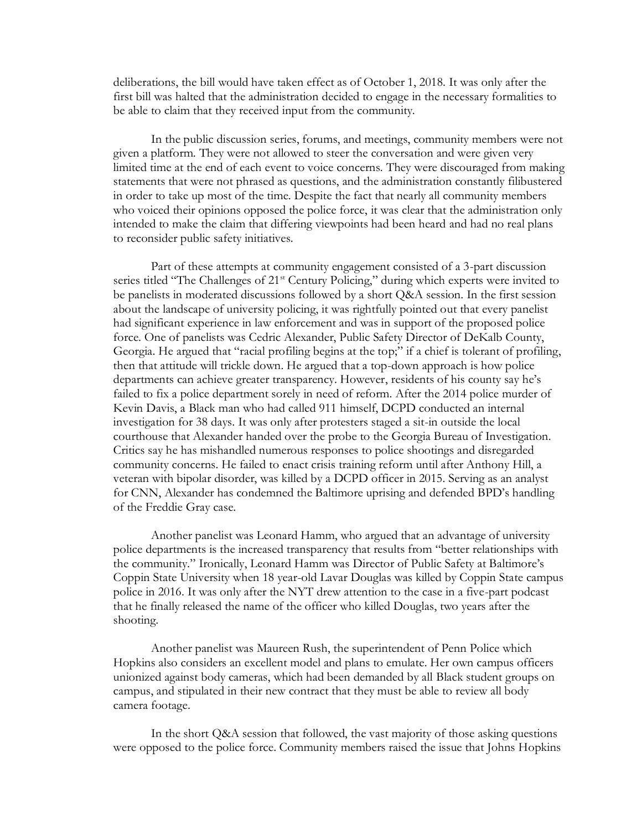deliberations, the bill would have taken effect as of October 1, 2018. It was only after the first bill was halted that the administration decided to engage in the necessary formalities to be able to claim that they received input from the community.

In the public discussion series, forums, and meetings, community members were not given a platform. They were not allowed to steer the conversation and were given very limited time at the end of each event to voice concerns. They were discouraged from making statements that were not phrased as questions, and the administration constantly filibustered in order to take up most of the time. Despite the fact that nearly all community members who voiced their opinions opposed the police force, it was clear that the administration only intended to make the claim that differing viewpoints had been heard and had no real plans to reconsider public safety initiatives.

Part of these attempts at community engagement consisted of a 3-part discussion series titled "The Challenges of 21<sup>st</sup> Century Policing," during which experts were invited to be panelists in moderated discussions followed by a short Q&A session. In the first session about the landscape of university policing, it was rightfully pointed out that every panelist had significant experience in law enforcement and was in support of the proposed police force. One of panelists was Cedric Alexander, Public Safety Director of DeKalb County, Georgia. He argued that "racial profiling begins at the top;" if a chief is tolerant of profiling, then that attitude will trickle down. He argued that a top-down approach is how police departments can achieve greater transparency. However, residents of his county say he's failed to fix a police department sorely in need of reform. After the 2014 police murder of Kevin Davis, a Black man who had called 911 himself, DCPD conducted an internal investigation for 38 days. It was only after protesters staged a sit-in outside the local courthouse that Alexander handed over the probe to the Georgia Bureau of Investigation. Critics say he has mishandled numerous responses to police shootings and disregarded community concerns. He failed to enact crisis training reform until after Anthony Hill, a veteran with bipolar disorder, was killed by a DCPD officer in 2015. Serving as an analyst for CNN, Alexander has condemned the Baltimore uprising and defended BPD's handling of the Freddie Gray case.

Another panelist was Leonard Hamm, who argued that an advantage of university police departments is the increased transparency that results from "better relationships with the community." Ironically, Leonard Hamm was Director of Public Safety at Baltimore's Coppin State University when 18 year-old Lavar Douglas was killed by Coppin State campus police in 2016. It was only after the NYT drew attention to the case in a five-part podcast that he finally released the name of the officer who killed Douglas, two years after the shooting.

Another panelist was Maureen Rush, the superintendent of Penn Police which Hopkins also considers an excellent model and plans to emulate. Her own campus officers unionized against body cameras, which had been demanded by all Black student groups on campus, and stipulated in their new contract that they must be able to review all body camera footage.

In the short Q&A session that followed, the vast majority of those asking questions were opposed to the police force. Community members raised the issue that Johns Hopkins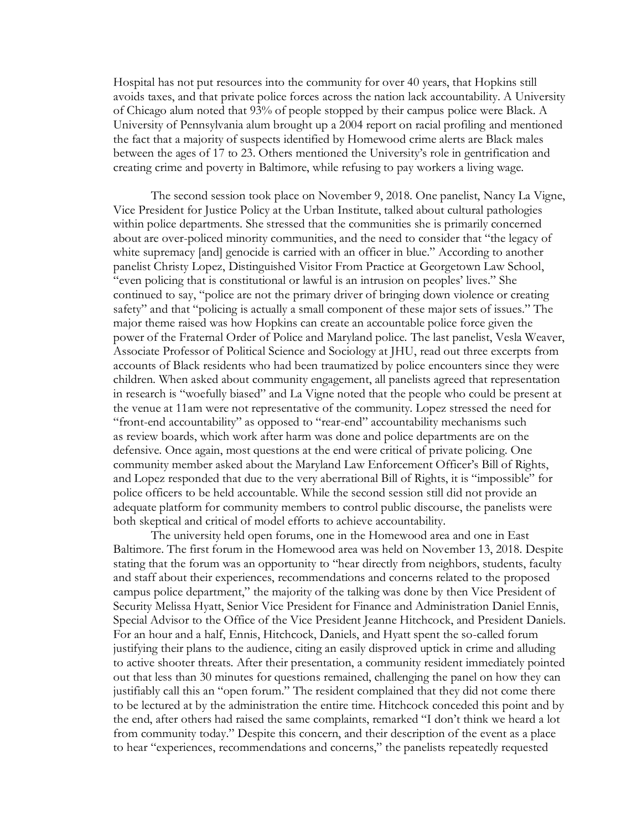Hospital has not put resources into the community for over 40 years, that Hopkins still avoids taxes, and that private police forces across the nation lack accountability. A University of Chicago alum noted that 93% of people stopped by their campus police were Black. A University of Pennsylvania alum brought up a 2004 report on racial profiling and mentioned the fact that a majority of suspects identified by Homewood crime alerts are Black males between the ages of 17 to 23. Others mentioned the University's role in gentrification and creating crime and poverty in Baltimore, while refusing to pay workers a living wage.

The second session took place on November 9, 2018. One panelist, Nancy La Vigne, Vice President for Justice Policy at the Urban Institute, talked about cultural pathologies within police departments. She stressed that the communities she is primarily concerned about are over-policed minority communities, and the need to consider that "the legacy of white supremacy [and] genocide is carried with an officer in blue." According to another panelist Christy Lopez, Distinguished Visitor From Practice at Georgetown Law School, "even policing that is constitutional or lawful is an intrusion on peoples' lives." She continued to say, "police are not the primary driver of bringing down violence or creating safety" and that "policing is actually a small component of these major sets of issues." The major theme raised was how Hopkins can create an accountable police force given the power of the Fraternal Order of Police and Maryland police. The last panelist, Vesla Weaver, Associate Professor of Political Science and Sociology at JHU, read out three excerpts from accounts of Black residents who had been traumatized by police encounters since they were children. When asked about community engagement, all panelists agreed that representation in research is "woefully biased" and La Vigne noted that the people who could be present at the venue at 11am were not representative of the community. Lopez stressed the need for "front-end accountability" as opposed to "rear-end" accountability mechanisms such as review boards, which work after harm was done and police departments are on the defensive. Once again, most questions at the end were critical of private policing. One community member asked about the Maryland Law Enforcement Officer's Bill of Rights, and Lopez responded that due to the very aberrational Bill of Rights, it is "impossible" for police officers to be held accountable. While the second session still did not provide an adequate platform for community members to control public discourse, the panelists were both skeptical and critical of model efforts to achieve accountability.

The university held open forums, one in the Homewood area and one in East Baltimore. The first forum in the Homewood area was held on November 13, 2018. Despite stating that the forum was an opportunity to "hear directly from neighbors, students, faculty and staff about their experiences, recommendations and concerns related to the proposed campus police department," the majority of the talking was done by then Vice President of Security Melissa Hyatt, Senior Vice President for Finance and Administration Daniel Ennis, Special Advisor to the Office of the Vice President Jeanne Hitchcock, and President Daniels. For an hour and a half, Ennis, Hitchcock, Daniels, and Hyatt spent the so-called forum justifying their plans to the audience, citing an easily disproved uptick in crime and alluding to active shooter threats. After their presentation, a community resident immediately pointed out that less than 30 minutes for questions remained, challenging the panel on how they can justifiably call this an "open forum." The resident complained that they did not come there to be lectured at by the administration the entire time. Hitchcock conceded this point and by the end, after others had raised the same complaints, remarked "I don't think we heard a lot from community today." Despite this concern, and their description of the event as a place to hear "experiences, recommendations and concerns," the panelists repeatedly requested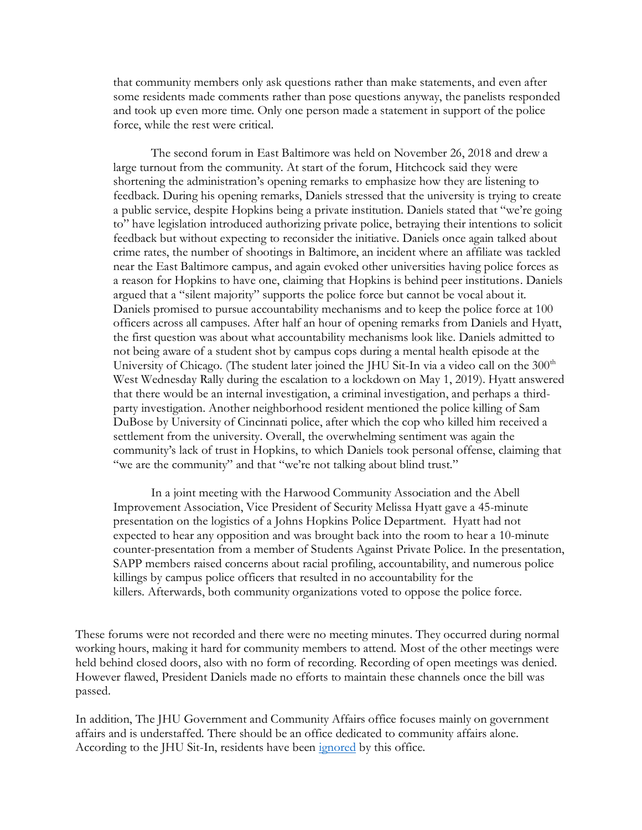that community members only ask questions rather than make statements, and even after some residents made comments rather than pose questions anyway, the panelists responded and took up even more time. Only one person made a statement in support of the police force, while the rest were critical.

The second forum in East Baltimore was held on November 26, 2018 and drew a large turnout from the community. At start of the forum, Hitchcock said they were shortening the administration's opening remarks to emphasize how they are listening to feedback. During his opening remarks, Daniels stressed that the university is trying to create a public service, despite Hopkins being a private institution. Daniels stated that "we're going to" have legislation introduced authorizing private police, betraying their intentions to solicit feedback but without expecting to reconsider the initiative. Daniels once again talked about crime rates, the number of shootings in Baltimore, an incident where an affiliate was tackled near the East Baltimore campus, and again evoked other universities having police forces as a reason for Hopkins to have one, claiming that Hopkins is behind peer institutions. Daniels argued that a "silent majority" supports the police force but cannot be vocal about it. Daniels promised to pursue accountability mechanisms and to keep the police force at 100 officers across all campuses. After half an hour of opening remarks from Daniels and Hyatt, the first question was about what accountability mechanisms look like. Daniels admitted to not being aware of a student shot by campus cops during a mental health episode at the University of Chicago. (The student later joined the JHU Sit-In via a video call on the 300<sup>th</sup> West Wednesday Rally during the escalation to a lockdown on May 1, 2019). Hyatt answered that there would be an internal investigation, a criminal investigation, and perhaps a thirdparty investigation. Another neighborhood resident mentioned the police killing of Sam DuBose by University of Cincinnati police, after which the cop who killed him received a settlement from the university. Overall, the overwhelming sentiment was again the community's lack of trust in Hopkins, to which Daniels took personal offense, claiming that "we are the community" and that "we're not talking about blind trust."

In a joint meeting with the Harwood Community Association and the Abell Improvement Association, Vice President of Security Melissa Hyatt gave a 45-minute presentation on the logistics of a Johns Hopkins Police Department. Hyatt had not expected to hear any opposition and was brought back into the room to hear a 10-minute counter-presentation from a member of Students Against Private Police. In the presentation, SAPP members raised concerns about racial profiling, accountability, and numerous police killings by campus police officers that resulted in no accountability for the killers. Afterwards, both community organizations voted to oppose the police force.

These forums were not recorded and there were no meeting minutes. They occurred during normal working hours, making it hard for community members to attend. Most of the other meetings were held behind closed doors, also with no form of recording. Recording of open meetings was denied. However flawed, President Daniels made no efforts to maintain these channels once the bill was passed.

In addition, The JHU Government and Community Affairs office focuses mainly on government affairs and is understaffed. There should be an office dedicated to community affairs alone. According to the JHU Sit-In, residents have been [ignored](https://www.facebook.com/GarlandSitin/posts/445233192788299) by this office.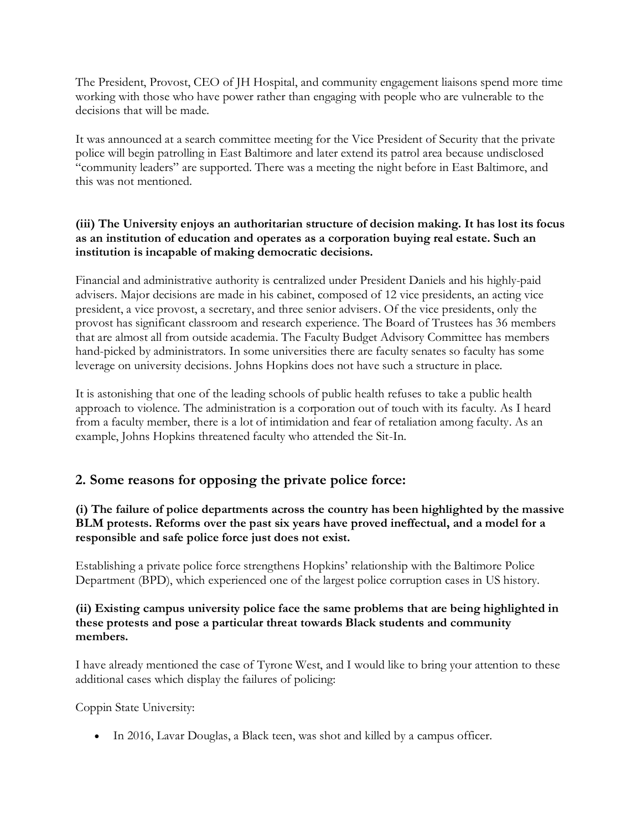The President, Provost, CEO of JH Hospital, and community engagement liaisons spend more time working with those who have power rather than engaging with people who are vulnerable to the decisions that will be made.

It was announced at a search committee meeting for the Vice President of Security that the private police will begin patrolling in East Baltimore and later extend its patrol area because undisclosed "community leaders" are supported. There was a meeting the night before in East Baltimore, and this was not mentioned.

### **(iii) The University enjoys an authoritarian structure of decision making. It has lost its focus as an institution of education and operates as a corporation buying real estate. Such an institution is incapable of making democratic decisions.**

Financial and administrative authority is centralized under President Daniels and his highly-paid advisers. Major decisions are made in his cabinet, composed of 12 vice presidents, an acting vice president, a vice provost, a secretary, and three senior advisers. Of the vice presidents, only the provost has significant classroom and research experience. The Board of Trustees has 36 members that are almost all from outside academia. The Faculty Budget Advisory Committee has members hand-picked by administrators. In some universities there are faculty senates so faculty has some leverage on university decisions. Johns Hopkins does not have such a structure in place.

It is astonishing that one of the leading schools of public health refuses to take a public health approach to violence. The administration is a corporation out of touch with its faculty. As I heard from a faculty member, there is a lot of intimidation and fear of retaliation among faculty. As an example, Johns Hopkins threatened faculty who attended the Sit-In.

# **2. Some reasons for opposing the private police force:**

**(i) The failure of police departments across the country has been highlighted by the massive BLM protests. Reforms over the past six years have proved ineffectual, and a model for a responsible and safe police force just does not exist.** 

Establishing a private police force strengthens Hopkins' relationship with the Baltimore Police Department (BPD), which experienced one of the largest police corruption cases in US history.

### **(ii) Existing campus university police face the same problems that are being highlighted in these protests and pose a particular threat towards Black students and community members.**

I have already mentioned the case of Tyrone West, and I would like to bring your attention to these additional cases which display the failures of policing:

Coppin State University:

• In 2016, Lavar Douglas, a Black teen, was shot and killed by a campus officer.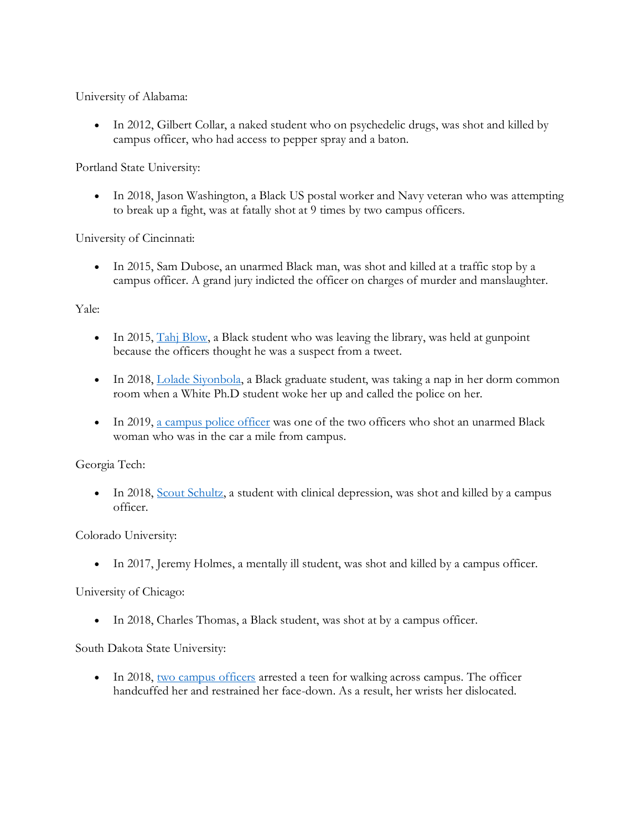University of Alabama:

• In 2012, Gilbert Collar, a naked student who on psychedelic drugs, was shot and killed by campus officer, who had access to pepper spray and a baton.

Portland State University:

• In 2018, Jason Washington, a Black US postal worker and Navy veteran who was attempting to break up a fight, was at fatally shot at 9 times by two campus officers.

University of Cincinnati:

• In 2015, Sam Dubose, an unarmed Black man, was shot and killed at a traffic stop by a campus officer. A grand jury indicted the officer on charges of murder and manslaughter.

### Yale:

- In 2015,  $\frac{\text{Ta}_{1}}{\text{Blow}}$ , a Black student who was leaving the library, was held at gunpoint because the officers thought he was a suspect from a tweet.
- In 2018, [Lolade Siyonbola,](https://heavy.com/news/2018/05/lolade-siyonbola/) a Black graduate student, was taking a nap in her dorm common room when a White Ph.D student woke her up and called the police on her.
- In 2019, [a campus police officer](https://www.cnn.com/2019/04/23/us/yale-police-shooting/index.html) was one of the two officers who shot an unarmed Black woman who was in the car a mile from campus.

Georgia Tech:

• In 2018, [Scout Schultz,](https://en.wikipedia.org/wiki/Shooting_of_Scout_Schultz) a student with clinical depression, was shot and killed by a campus officer.

Colorado University:

• In 2017, Jeremy Holmes, a mentally ill student, was shot and killed by a campus officer.

University of Chicago:

• In 2018, Charles Thomas, a Black student, was shot at by a campus officer.

South Dakota State University:

• In 2018, [two campus officers](https://apnews.com/article/1f1c0fb376d044a0a972262afad39245) arrested a teen for walking across campus. The officer handcuffed her and restrained her face-down. As a result, her wrists her dislocated.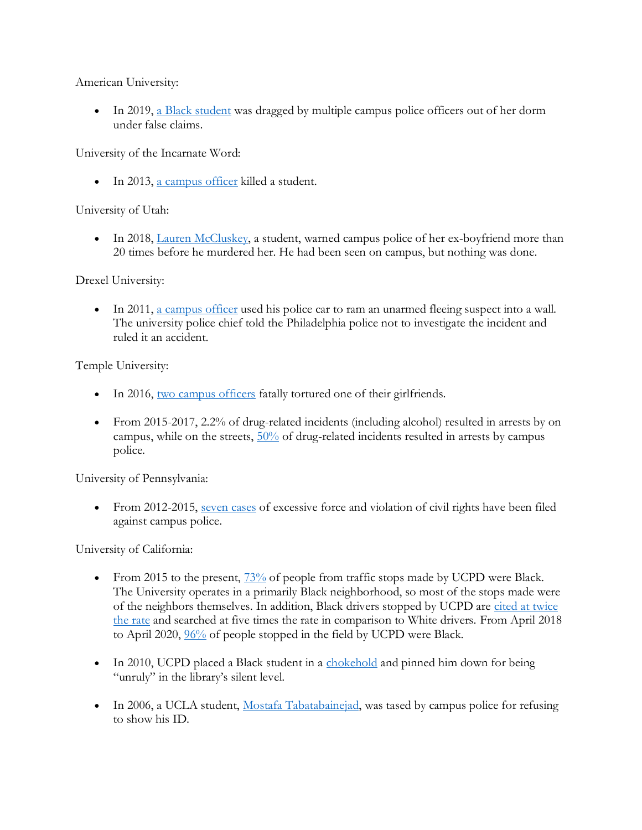American University:

• In 2019, [a Black student](https://thegrio.com/2019/10/30/black-american-u-student-dragged-by-police-out-of-her-dorm-under-false-claims/) was dragged by multiple campus police officers out of her dorm under false claims.

University of the Incarnate Word:

• In 2013, [a campus officer](https://www.cnn.com/2013/12/09/justice/texas-campus-officer-shooting/index.html) killed a student.

University of Utah:

• In 2018, [Lauren McCluskey,](https://www.cnn.com/2020/10/23/us/lauren-mccluskey-university-of-utah-settlement/index.html) a student, warned campus police of her ex-boyfriend more than 20 times before he murdered her. He had been seen on campus, but nothing was done.

Drexel University:

• In 2011, [a campus officer](https://www.bigtrial.net/2014/07/drexel-universitys-police-brutality.html) used his police car to ram an unarmed fleeing suspect into a wall. The university police chief told the Philadelphia police not to investigate the incident and ruled it an accident.

Temple University:

- In 2016, [two campus officers](http://www2.philly.com/philly/news/crime/temple-cops-police-aaron-wright-marquis-robinson-sentencing-beating-death-joyce-quaweay-20180723.html) fatally tortured one of their girlfriends.
- From 2015-2017, 2.2% of drug-related incidents (including alcohol) resulted in arrests by on campus, while on the streets,  $50\%$  of drug-related incidents resulted in arrests by campus police.

University of Pennsylvania:

• From 2012-2015, [seven cases](https://www.thedp.com/article/2015/04/penn-police-training-to-combat-use-of-excessive-force) of excessive force and violation of civil rights have been filed against campus police.

University of California:

- From 2015 to the present,  $\frac{73\%}{6}$  of people from traffic stops made by UCPD were Black. The University operates in a primarily Black neighborhood, so most of the stops made were of the neighbors themselves. In addition, Black drivers stopped by UCPD are [cited at twice](https://twitter.com/erhlango/status/1294446420808916994)  [the rate](https://twitter.com/erhlango/status/1294446420808916994) and searched at five times the rate in comparison to White drivers. From April 2018 to April 2020,  $\frac{96\%}{6}$  of people stopped in the field by UCPD were Black.
- In 2010, UCPD placed a Black student in a [chokehold](https://www.chicagomaroon.com/2010/03/05/arrest-uproar-prompts-forum-answers-from-admins/) and pinned him down for being "unruly" in the library's silent level.
- In 2006, a UCLA student, [Mostafa Tabatabainejad,](https://www.chicagotribune.com/news/ct-xpm-2006-11-17-0611170229-story.html) was tased by campus police for refusing to show his ID.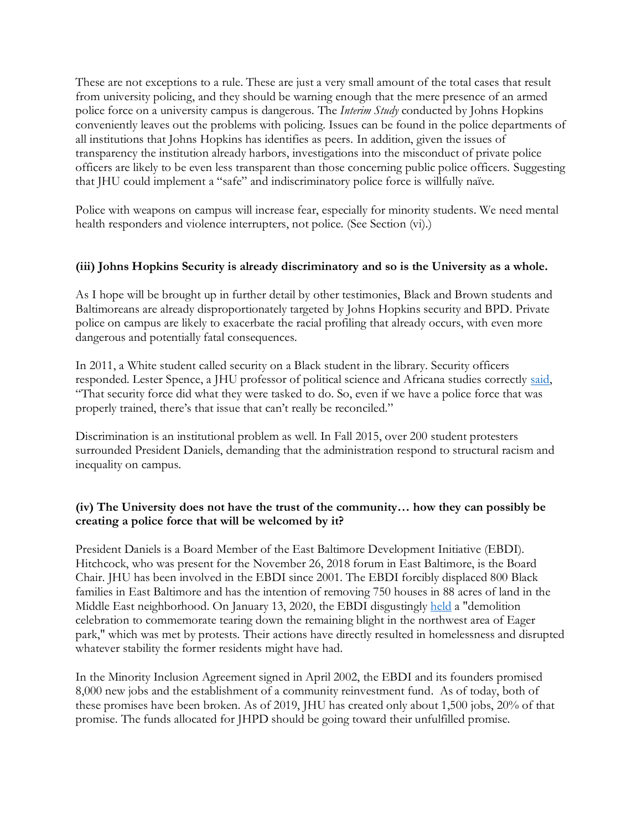These are not exceptions to a rule. These are just a very small amount of the total cases that result from university policing, and they should be warning enough that the mere presence of an armed police force on a university campus is dangerous. The *Interim Study* conducted by Johns Hopkins conveniently leaves out the problems with policing. Issues can be found in the police departments of all institutions that Johns Hopkins has identifies as peers. In addition, given the issues of transparency the institution already harbors, investigations into the misconduct of private police officers are likely to be even less transparent than those concerning public police officers. Suggesting that JHU could implement a "safe" and indiscriminatory police force is willfully naïve.

Police with weapons on campus will increase fear, especially for minority students. We need mental health responders and violence interrupters, not police. (See Section (vi).)

#### **(iii) Johns Hopkins Security is already discriminatory and so is the University as a whole.**

As I hope will be brought up in further detail by other testimonies, Black and Brown students and Baltimoreans are already disproportionately targeted by Johns Hopkins security and BPD. Private police on campus are likely to exacerbate the racial profiling that already occurs, with even more dangerous and potentially fatal consequences.

In 2011, a White student called security on a Black student in the library. Security officers responded. Lester Spence, a JHU professor of political science and Africana studies correctly [said,](https://www.baltimoresun.com/maryland/baltimore-city/bs-md-ci-hopkins-protest-march-20200629-gjrtmzzh4vdrjjxlsnhu3qa2h4-story.html) "That security force did what they were tasked to do. So, even if we have a police force that was properly trained, there's that issue that can't really be reconciled."

Discrimination is an institutional problem as well. In Fall 2015, over 200 student protesters surrounded President Daniels, demanding that the administration respond to structural racism and inequality on campus.

### **(iv) The University does not have the trust of the community… how they can possibly be creating a police force that will be welcomed by it?**

President Daniels is a Board Member of the East Baltimore Development Initiative (EBDI). Hitchcock, who was present for the November 26, 2018 forum in East Baltimore, is the Board Chair. JHU has been involved in the EBDI since 2001. The EBDI forcibly displaced 800 Black families in East Baltimore and has the intention of removing 750 houses in 88 acres of land in the Middle East neighborhood. On January 13, 2020, the EBDI disgustingly [held](https://www.facebook.com/ValeDisamistade/posts/10220697193958691) a "demolition celebration to commemorate tearing down the remaining blight in the northwest area of Eager park," which was met by protests. Their actions have directly resulted in homelessness and disrupted whatever stability the former residents might have had.

In the Minority Inclusion Agreement signed in April 2002, the EBDI and its founders promised 8,000 new jobs and the establishment of a community reinvestment fund. As of today, both of these promises have been broken. As of 2019, JHU has created only about 1,500 jobs, 20% of that promise. The funds allocated for JHPD should be going toward their unfulfilled promise.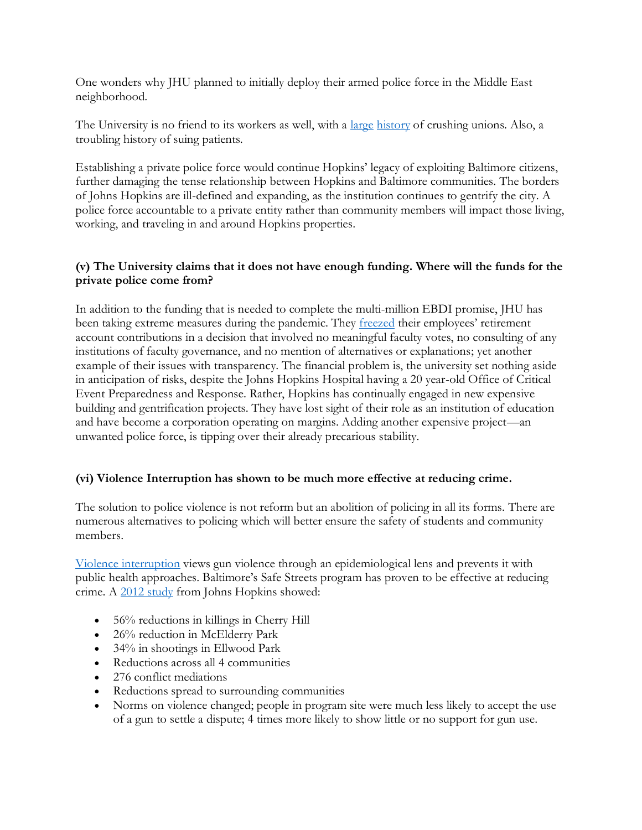One wonders why JHU planned to initially deploy their armed police force in the Middle East neighborhood.

The University is no friend to its workers as well, with a <u>large [history](https://www.baltimoresun.com/health/bs-hs-hopkins-unionization-retaliation-20190214-story.html)</u> of crushing unions. Also, a troubling history of suing patients.

Establishing a private police force would continue Hopkins' legacy of exploiting Baltimore citizens, further damaging the tense relationship between Hopkins and Baltimore communities. The borders of Johns Hopkins are ill-defined and expanding, as the institution continues to gentrify the city. A police force accountable to a private entity rather than community members will impact those living, working, and traveling in and around Hopkins properties.

### **(v) The University claims that it does not have enough funding. Where will the funds for the private police come from?**

In addition to the funding that is needed to complete the multi-million EBDI promise, JHU has been taking extreme measures during the pandemic. They **freezed** their employees' retirement account contributions in a decision that involved no meaningful faculty votes, no consulting of any institutions of faculty governance, and no mention of alternatives or explanations; yet another example of their issues with transparency. The financial problem is, the university set nothing aside in anticipation of risks, despite the Johns Hopkins Hospital having a 20 year-old Office of Critical Event Preparedness and Response. Rather, Hopkins has continually engaged in new expensive building and gentrification projects. They have lost sight of their role as an institution of education and have become a corporation operating on margins. Adding another expensive project—an unwanted police force, is tipping over their already precarious stability.

## **(vi) Violence Interruption has shown to be much more effective at reducing crime.**

The solution to police violence is not reform but an abolition of policing in all its forms. There are numerous alternatives to policing which will better ensure the safety of students and community members.

[Violence interruption](https://www.baltimoresun.com/news/crime/bs-md-ci-cr-cherry-hill-violence-20200214-anbkiloc5nd5bn44d46ujhlipi-story.html) views gun violence through an epidemiological lens and prevents it with public health approaches. Baltimore's Safe Streets program has proven to be effective at reducing crime. A [2012 study](https://cvg.org/impact/) from Johns Hopkins showed:

- 56% reductions in killings in Cherry Hill
- 26% reduction in McElderry Park
- 34% in shootings in Ellwood Park
- Reductions across all 4 communities
- 276 conflict mediations
- Reductions spread to surrounding communities
- Norms on violence changed; people in program site were much less likely to accept the use of a gun to settle a dispute; 4 times more likely to show little or no support for gun use.